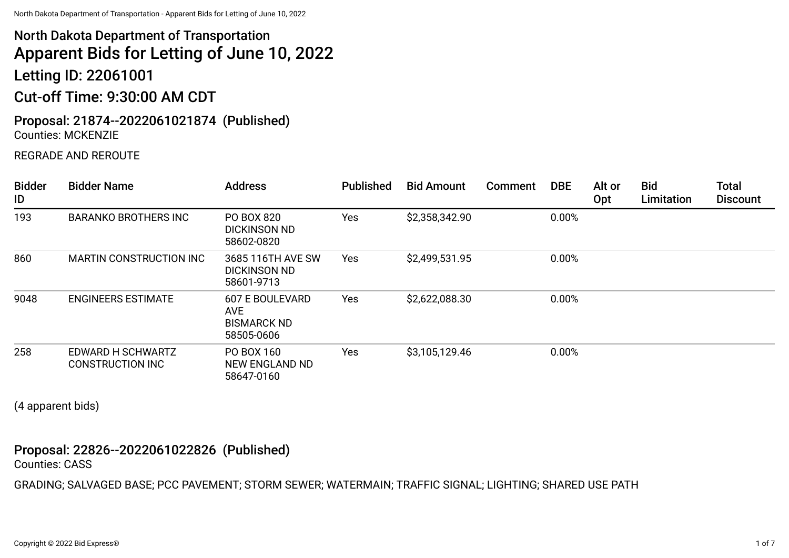# North Dakota Department of Transportation Apparent Bids for Letting of June 10, 2022

Letting ID: 22061001

## Cut-off Time: 9:30:00 AM CDT

### Proposal: 21874--2022061021874 (Published) Counties: MCKENZIE

### REGRADE AND REROUTE

| <b>Bidder</b><br>ID | <b>Bidder Name</b>                           | <b>Address</b>                                                    | <b>Published</b> | <b>Bid Amount</b> | Comment | <b>DBE</b> | Alt or<br>Opt | <b>Bid</b><br>Limitation | <b>Total</b><br><b>Discount</b> |
|---------------------|----------------------------------------------|-------------------------------------------------------------------|------------------|-------------------|---------|------------|---------------|--------------------------|---------------------------------|
| 193                 | <b>BARANKO BROTHERS INC</b>                  | PO BOX 820<br><b>DICKINSON ND</b><br>58602-0820                   | Yes              | \$2,358,342.90    |         | 0.00%      |               |                          |                                 |
| 860                 | <b>MARTIN CONSTRUCTION INC</b>               | 3685 116TH AVE SW<br><b>DICKINSON ND</b><br>58601-9713            | <b>Yes</b>       | \$2,499,531.95    |         | 0.00%      |               |                          |                                 |
| 9048                | <b>ENGINEERS ESTIMATE</b>                    | <b>607 E BOULEVARD</b><br>AVE<br><b>BISMARCK ND</b><br>58505-0606 | Yes              | \$2,622,088.30    |         | 0.00%      |               |                          |                                 |
| 258                 | EDWARD H SCHWARTZ<br><b>CONSTRUCTION INC</b> | PO BOX 160<br>NEW ENGLAND ND<br>58647-0160                        | Yes              | \$3,105,129.46    |         | 0.00%      |               |                          |                                 |

(4 apparent bids)

### Proposal: 22826--2022061022826 (Published)

Counties: CASS

GRADING; SALVAGED BASE; PCC PAVEMENT; STORM SEWER; WATERMAIN; TRAFFIC SIGNAL; LIGHTING; SHARED USE PATH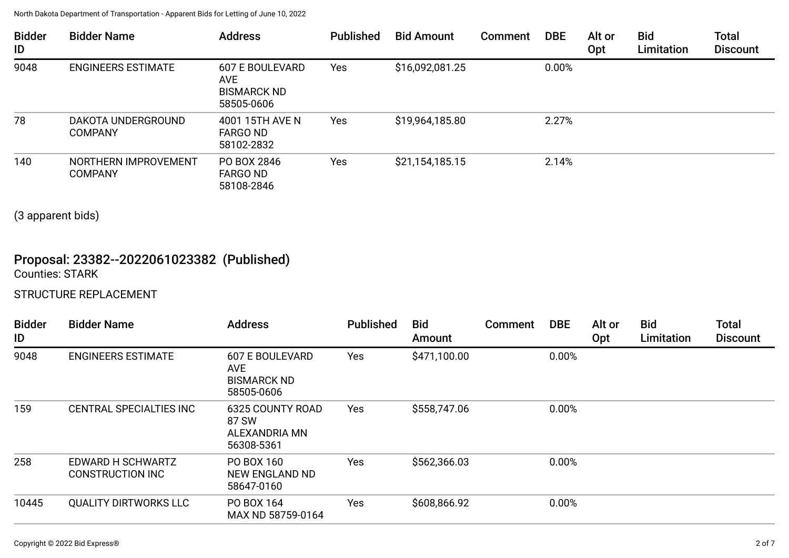| <b>Bidder</b><br>ID | <b>Bidder Name</b>                     | <b>Address</b>                                                           | <b>Published</b> | <b>Bid Amount</b> | Comment | <b>DBE</b> | Alt or<br>Opt | <b>Bid</b><br>Limitation | <b>Total</b><br><b>Discount</b> |
|---------------------|----------------------------------------|--------------------------------------------------------------------------|------------------|-------------------|---------|------------|---------------|--------------------------|---------------------------------|
| 9048                | <b>ENGINEERS ESTIMATE</b>              | <b>607 E BOULEVARD</b><br><b>AVE</b><br><b>BISMARCK ND</b><br>58505-0606 | Yes              | \$16,092,081.25   |         | 0.00%      |               |                          |                                 |
| 78                  | DAKOTA UNDERGROUND<br><b>COMPANY</b>   | 4001 15TH AVE N<br><b>FARGO ND</b><br>58102-2832                         | Yes              | \$19,964,185.80   |         | 2.27%      |               |                          |                                 |
| 140                 | NORTHERN IMPROVEMENT<br><b>COMPANY</b> | PO BOX 2846<br><b>FARGO ND</b><br>58108-2846                             | Yes              | \$21,154,185.15   |         | 2.14%      |               |                          |                                 |

(3 apparent bids)

### Proposal: 23382--2022061023382 (Published) Counties: STARK

### STRUCTURE REPLACEMENT

| <b>Bidder</b><br>ID | <b>Bidder Name</b>                           | <b>Address</b>                                                           | <b>Published</b> | <b>Bid</b><br>Amount | <b>Comment</b> | <b>DBE</b> | Alt or<br>Opt | <b>Bid</b><br>Limitation | <b>Total</b><br><b>Discount</b> |
|---------------------|----------------------------------------------|--------------------------------------------------------------------------|------------------|----------------------|----------------|------------|---------------|--------------------------|---------------------------------|
| 9048                | <b>ENGINEERS ESTIMATE</b>                    | <b>607 E BOULEVARD</b><br><b>AVE</b><br><b>BISMARCK ND</b><br>58505-0606 | Yes              | \$471,100.00         |                | 0.00%      |               |                          |                                 |
| 159                 | CENTRAL SPECIALTIES INC                      | <b>6325 COUNTY ROAD</b><br>87 SW<br>ALEXANDRIA MN<br>56308-5361          | Yes              | \$558,747.06         |                | 0.00%      |               |                          |                                 |
| 258                 | EDWARD H SCHWARTZ<br><b>CONSTRUCTION INC</b> | PO BOX 160<br>NEW ENGLAND ND<br>58647-0160                               | Yes              | \$562,366.03         |                | 0.00%      |               |                          |                                 |
| 10445               | <b>QUALITY DIRTWORKS LLC</b>                 | PO BOX 164<br>MAX ND 58759-0164                                          | Yes              | \$608,866.92         |                | 0.00%      |               |                          |                                 |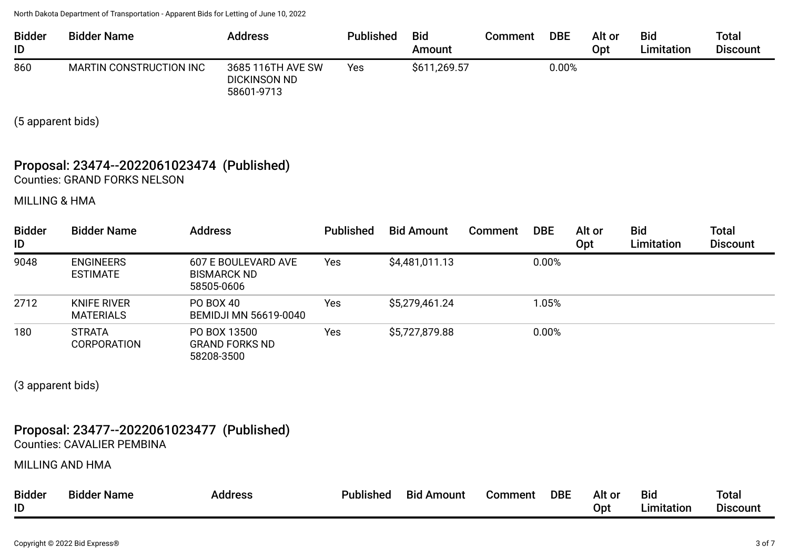| <b>Bidder</b><br>ID | <b>Bidder Name</b>             | <b>Address</b>                                         | <b>Published</b> | <b>Bid</b><br>Amount | Comment | <b>DBE</b> | Alt or<br>Opt | <b>Bid</b><br>Limitation | <b>Total</b><br><b>Discount</b> |
|---------------------|--------------------------------|--------------------------------------------------------|------------------|----------------------|---------|------------|---------------|--------------------------|---------------------------------|
| 860                 | <b>MARTIN CONSTRUCTION INC</b> | 3685 116TH AVE SW<br><b>DICKINSON ND</b><br>58601-9713 | Yes              | \$611,269.57         |         | 0.00%      |               |                          |                                 |

(5 apparent bids)

### Proposal: 23474--2022061023474 (Published) Counties: GRAND FORKS NELSON

MILLING & HMA

| <b>Bidder</b><br>ID | <b>Bidder Name</b>                     | <b>Address</b>                                          | <b>Published</b> | <b>Bid Amount</b> | Comment | <b>DBE</b> | Alt or<br>Opt | <b>Bid</b><br>Limitation | <b>Total</b><br><b>Discount</b> |
|---------------------|----------------------------------------|---------------------------------------------------------|------------------|-------------------|---------|------------|---------------|--------------------------|---------------------------------|
| 9048                | <b>ENGINEERS</b><br><b>ESTIMATE</b>    | 607 E BOULEVARD AVE<br><b>BISMARCK ND</b><br>58505-0606 | Yes              | \$4,481,011.13    |         | 0.00%      |               |                          |                                 |
| 2712                | <b>KNIFE RIVER</b><br><b>MATERIALS</b> | PO BOX 40<br><b>BEMIDJI MN 56619-0040</b>               | Yes              | \$5,279,461.24    |         | 1.05%      |               |                          |                                 |
| 180                 | <b>STRATA</b><br><b>CORPORATION</b>    | PO BOX 13500<br><b>GRAND FORKS ND</b><br>58208-3500     | Yes              | \$5,727,879.88    |         | 0.00%      |               |                          |                                 |

(3 apparent bids)

### Proposal: 23477--2022061023477 (Published)

Counties: CAVALIER PEMBINA

MILLING AND HMA

| <b>Bidder</b> | <b>Bidder Name</b> | <b>Address</b> | Published | <b>Bid Amount</b> | Comment | <b>DBE</b> | Alt or | <b>Bio</b>                            | Total           |
|---------------|--------------------|----------------|-----------|-------------------|---------|------------|--------|---------------------------------------|-----------------|
| ID            |                    |                |           |                   |         |            | Opt    | $\mathsf{\scriptstyle\bot}$ imitation | <b>Discount</b> |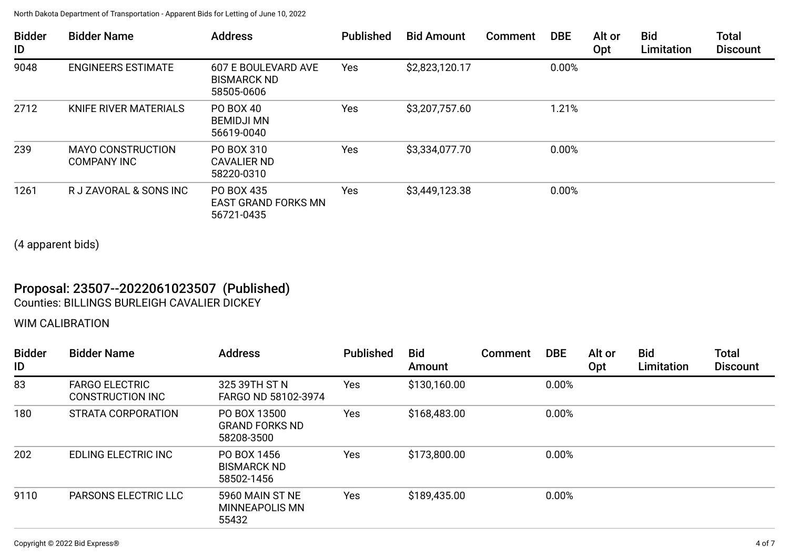| <b>Bidder</b><br>ID | <b>Bidder Name</b>                             | <b>Address</b>                                          | <b>Published</b> | <b>Bid Amount</b> | Comment | <b>DBE</b> | Alt or<br>Opt | <b>Bid</b><br>Limitation | <b>Total</b><br><b>Discount</b> |
|---------------------|------------------------------------------------|---------------------------------------------------------|------------------|-------------------|---------|------------|---------------|--------------------------|---------------------------------|
| 9048                | <b>ENGINEERS ESTIMATE</b>                      | 607 E BOULEVARD AVE<br><b>BISMARCK ND</b><br>58505-0606 | Yes              | \$2,823,120.17    |         | 0.00%      |               |                          |                                 |
| 2712                | KNIFE RIVER MATERIALS                          | PO BOX 40<br><b>BEMIDJI MN</b><br>56619-0040            | Yes              | \$3,207,757.60    |         | 1.21%      |               |                          |                                 |
| 239                 | <b>MAYO CONSTRUCTION</b><br><b>COMPANY INC</b> | PO BOX 310<br><b>CAVALIER ND</b><br>58220-0310          | Yes              | \$3,334,077.70    |         | 0.00%      |               |                          |                                 |
| 1261                | R J ZAVORAL & SONS INC                         | PO BOX 435<br><b>EAST GRAND FORKS MN</b><br>56721-0435  | Yes              | \$3,449,123.38    |         | 0.00%      |               |                          |                                 |

(4 apparent bids)

### Proposal: 23507--2022061023507 (Published) Counties: BILLINGS BURLEIGH CAVALIER DICKEY

### WIM CALIBRATION

| <b>Bidder</b><br>ID | <b>Bidder Name</b>                               | <b>Address</b>                                      | <b>Published</b> | <b>Bid</b><br>Amount | Comment | <b>DBE</b> | Alt or<br>Opt | <b>Bid</b><br>Limitation | <b>Total</b><br><b>Discount</b> |
|---------------------|--------------------------------------------------|-----------------------------------------------------|------------------|----------------------|---------|------------|---------------|--------------------------|---------------------------------|
| 83                  | <b>FARGO ELECTRIC</b><br><b>CONSTRUCTION INC</b> | 325 39TH ST N<br>FARGO ND 58102-3974                | <b>Yes</b>       | \$130,160.00         |         | 0.00%      |               |                          |                                 |
| 180                 | STRATA CORPORATION                               | PO BOX 13500<br><b>GRAND FORKS ND</b><br>58208-3500 | Yes              | \$168,483.00         |         | 0.00%      |               |                          |                                 |
| 202                 | EDLING ELECTRIC INC                              | PO BOX 1456<br><b>BISMARCK ND</b><br>58502-1456     | Yes              | \$173,800.00         |         | 0.00%      |               |                          |                                 |
| 9110                | <b>PARSONS ELECTRIC LLC</b>                      | 5960 MAIN ST NE<br>MINNEAPOLIS MN<br>55432          | <b>Yes</b>       | \$189,435.00         |         | 0.00%      |               |                          |                                 |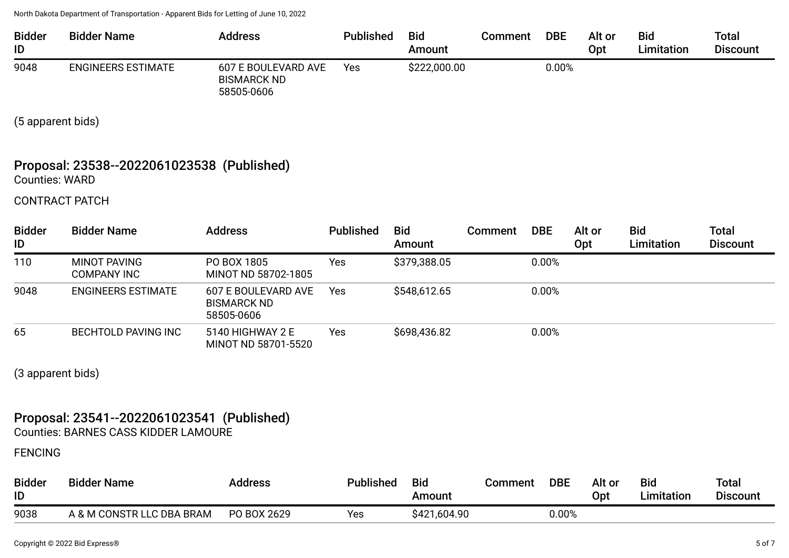| <b>Bidder</b><br>ID | <b>Bidder Name</b>        | <b>Address</b>                                          | <b>Published</b> | <b>Bid</b><br>Amount | Comment | <b>DBE</b> | Alt or<br>Opt | <b>Bid</b><br>Limitation | <b>Total</b><br><b>Discount</b> |
|---------------------|---------------------------|---------------------------------------------------------|------------------|----------------------|---------|------------|---------------|--------------------------|---------------------------------|
| 9048                | <b>ENGINEERS ESTIMATE</b> | 607 E BOULEVARD AVE<br><b>BISMARCK ND</b><br>58505-0606 | Yes              | \$222,000.00         |         | $0.00\%$   |               |                          |                                 |

(5 apparent bids)

### Proposal: 23538--2022061023538 (Published) Counties: WARD

CONTRACT PATCH

| <b>Bidder</b><br>ID | <b>Bidder Name</b>          | <b>Address</b>                                          | <b>Published</b> | <b>Bid</b><br>Amount | <b>Comment</b> | <b>DBE</b> | Alt or<br>Opt | <b>Bid</b><br>Limitation | Total<br><b>Discount</b> |
|---------------------|-----------------------------|---------------------------------------------------------|------------------|----------------------|----------------|------------|---------------|--------------------------|--------------------------|
| 110                 | MINOT PAVING<br>COMPANY INC | PO BOX 1805<br>MINOT ND 58702-1805                      | Yes              | \$379,388.05         |                | 0.00%      |               |                          |                          |
| 9048                | <b>ENGINEERS ESTIMATE</b>   | 607 E BOULEVARD AVE<br><b>BISMARCK ND</b><br>58505-0606 | <b>Yes</b>       | \$548,612.65         |                | 0.00%      |               |                          |                          |
| 65                  | <b>BECHTOLD PAVING INC</b>  | 5140 HIGHWAY 2 E<br>MINOT ND 58701-5520                 | Yes              | \$698,436.82         |                | 0.00%      |               |                          |                          |

(3 apparent bids)

### Proposal: 23541--2022061023541 (Published)

Counties: BARNES CASS KIDDER LAMOURE

FENCING

| <b>Bidder</b><br>ID | <b>Bidder Name</b>        | Address     | Published | <b>Bid</b><br>Amount | Comment | <b>DBE</b> | Alt or<br>Opt | <b>Bid</b><br>`imitation | <b>Total</b><br><b>Discount</b> |
|---------------------|---------------------------|-------------|-----------|----------------------|---------|------------|---------------|--------------------------|---------------------------------|
| 9038                | A & M CONSTR LLC DBA BRAM | PO BOX 2629 | Yes       | \$421,604.90         |         | $0.00\%$   |               |                          |                                 |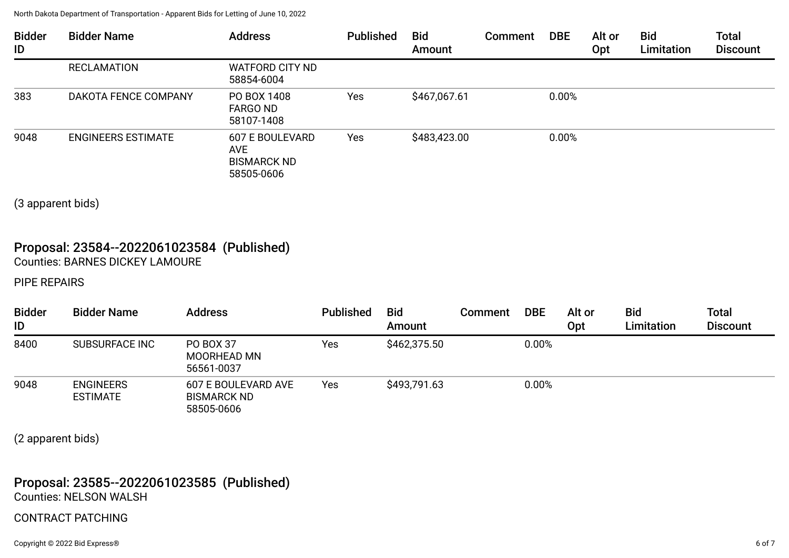| <b>Bidder</b><br>ID | <b>Bidder Name</b>        | <b>Address</b>                                                    | <b>Published</b> | <b>Bid</b><br>Amount | Comment | <b>DBE</b> | Alt or<br>Opt | <b>Bid</b><br>Limitation | <b>Total</b><br><b>Discount</b> |
|---------------------|---------------------------|-------------------------------------------------------------------|------------------|----------------------|---------|------------|---------------|--------------------------|---------------------------------|
|                     | <b>RECLAMATION</b>        | <b>WATFORD CITY ND</b><br>58854-6004                              |                  |                      |         |            |               |                          |                                 |
| 383                 | DAKOTA FENCE COMPANY      | PO BOX 1408<br><b>FARGO ND</b><br>58107-1408                      | Yes              | \$467,067.61         |         | 0.00%      |               |                          |                                 |
| 9048                | <b>ENGINEERS ESTIMATE</b> | 607 E BOULEVARD<br><b>AVE</b><br><b>BISMARCK ND</b><br>58505-0606 | Yes              | \$483,423.00         |         | 0.00%      |               |                          |                                 |

(3 apparent bids)

### Proposal: 23584--2022061023584 (Published) Counties: BARNES DICKEY LAMOURE

PIPE REPAIRS

| <b>Bidder</b><br>ID | <b>Bidder Name</b>                  | <b>Address</b>                                          | <b>Published</b> | <b>Bid</b><br>Amount | Comment | <b>DBE</b> | Alt or<br>Opt | <b>Bid</b><br>Limitation | <b>Total</b><br><b>Discount</b> |
|---------------------|-------------------------------------|---------------------------------------------------------|------------------|----------------------|---------|------------|---------------|--------------------------|---------------------------------|
| 8400                | <b>SUBSURFACE INC</b>               | PO BOX 37<br><b>MOORHEAD MN</b><br>56561-0037           | Yes              | \$462,375.50         |         | 0.00%      |               |                          |                                 |
| 9048                | <b>ENGINEERS</b><br><b>ESTIMATE</b> | 607 E BOULEVARD AVE<br><b>BISMARCK ND</b><br>58505-0606 | Yes              | \$493,791.63         |         | 0.00%      |               |                          |                                 |

(2 apparent bids)

#### Proposal: 23585--2022061023585 (Published) Counties: NELSON WALSH

### CONTRACT PATCHING